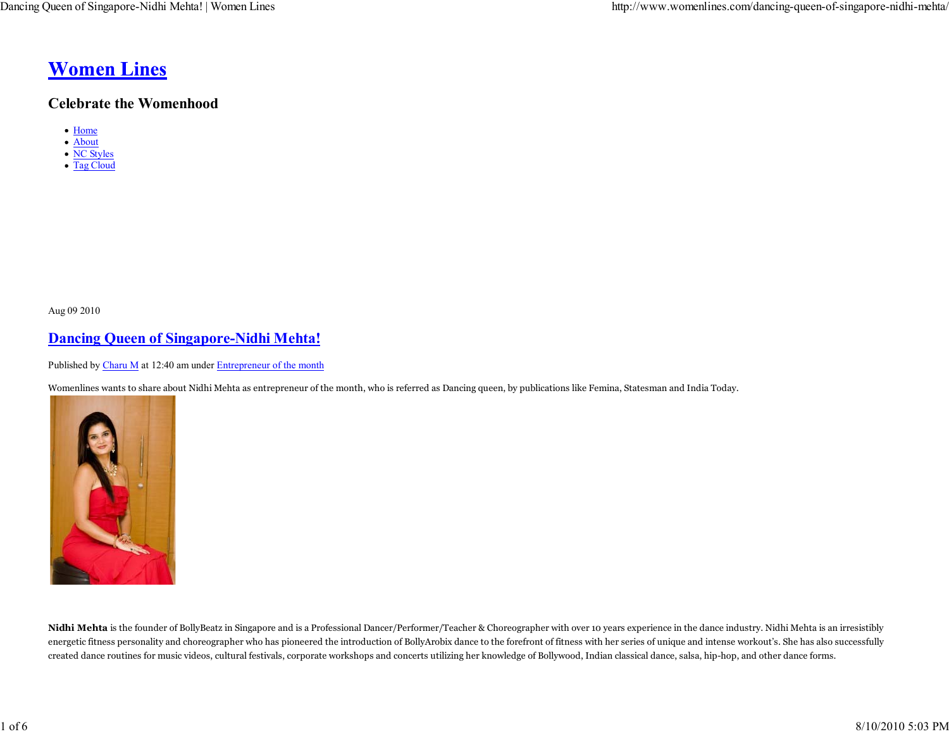# **Women Lines**

### **Celebrate the Womenhood**

- Home
- About
- NC Styles • Tag Cloud

Aug 09 2010

# **Dancing Queen of Singapore-Nidhi Mehta!**

Published by Charu M at 12:40 am under Entrepreneur of the month

Womenlines wants to share about Nidhi Mehta as entrepreneur of the month, who is referred as Dancing queen, by publications like Femina, Statesman and India Today.



**Nidhi Mehta** is the founder of BollyBeatz in Singapore and is a Professional Dancer/Performer/Teacher & Choreographer with over 10 years experience in the dance industry. Nidhi Mehta is an irresistibly energetic fitness personality and choreographer who has pioneered the introduction of BollyArobix dance to the forefront of fitness with her series of unique and intense workout's. She has also successfully created dance routines for music videos, cultural festivals, corporate workshops and concerts utilizing her knowledge of Bollywood, Indian classical dance, salsa, hip-hop, and other dance forms.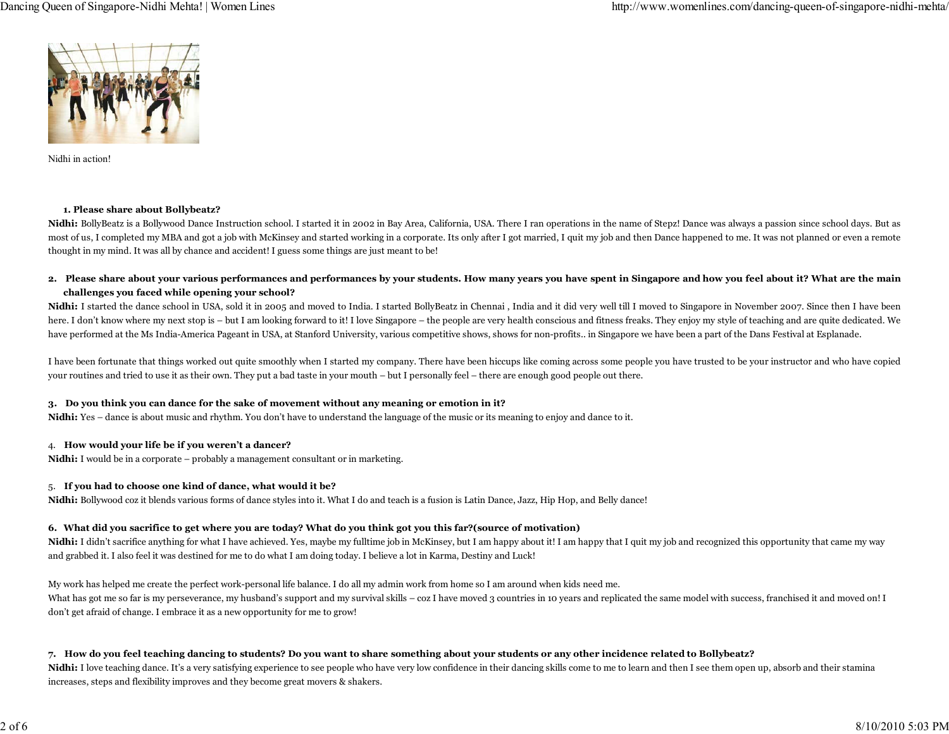

Nidhi in action!

#### **1. Please share about Bollybeatz?**

Nidhi: BollyBeatz is a Bollywood Dance Instruction school. I started it in 2002 in Bay Area, California, USA. There I ran operations in the name of Stepz! Dance was always a passion since school days. But as most of us, I completed my MBA and got a job with McKinsey and started working in a corporate. Its only after I got married, I quit my job and then Dance happened to me. It was not planned or even a remote thought in my mind. It was all by chance and accident! I guess some things are just meant to be!

**2. Please share about your various performances and performances by your students. How many years you have spent in Singapore and how you feel about it? What are the main challenges you faced while opening your school?**

Nidhi: I started the dance school in USA, sold it in 2005 and moved to India. I started BollyBeatz in Chennai, India and it did very well till I moved to Singapore in November 2007. Since then I have been here. I don't know where my next stop is – but I am looking forward to it! I love Singapore – the people are very health conscious and fitness freaks. They enjoy my style of teaching and are quite dedicated. We have performed at the Ms India-America Pageant in USA, at Stanford University, various competitive shows, shows for non-profits.. in Singapore we have been a part of the Dans Festival at Esplanade.

I have been fortunate that things worked out quite smoothly when I started my company. There have been hiccups like coming across some people you have trusted to be your instructor and who have copied your routines and tried to use it as their own. They put a bad taste in your mouth – but I personally feel – there are enough good people out there.

#### **3. Do you think you can dance for the sake of movement without any meaning or emotion in it?**

**Nidhi:** Yes – dance is about music and rhythm. You don't have to understand the language of the music or its meaning to enjoy and dance to it.

#### 4. **How would your life be if you weren't a dancer?**

**Nidhi:** I would be in a corporate – probably a management consultant or in marketing.

#### 5. **If you had to choose one kind of dance, what would it be?**

**Nidhi:** Bollywood coz it blends various forms of dance styles into it. What I do and teach is a fusion is Latin Dance, Jazz, Hip Hop, and Belly dance!

#### **6. What did you sacrifice to get where you are today? What do you think got you this far?(source of motivation)**

Nidhi: I didn't sacrifice anything for what I have achieved. Yes, maybe my fulltime job in McKinsey, but I am happy about it! I am happy that I quit my job and recognized this opportunity that came my way and grabbed it. I also feel it was destined for me to do what I am doing today. I believe a lot in Karma, Destiny and Luck!

My work has helped me create the perfect work-personal life balance. I do all my admin work from home so I am around when kids need me. What has got me so far is my perseverance, my husband's support and my survival skills – coz I have moved 3 countries in 10 years and replicated the same model with success, franchised it and moved on! I don't get afraid of change. I embrace it as a new opportunity for me to grow!

#### **7. How do you feel teaching dancing to students? Do you want to share something about your students or any other incidence related to Bollybeatz?**

Nidhi: I love teaching dance. It's a very satisfying experience to see people who have very low confidence in their dancing skills come to me to learn and then I see them open up, absorb and their stamina increases, steps and flexibility improves and they become great movers & shakers.